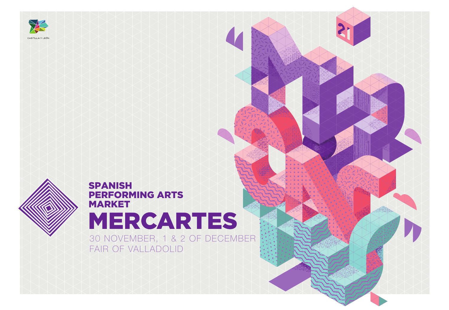

CASTILLA Y LEÓN

# 30 NOVEMBER, 1 & 2 OF DECEMBER SPANISH PERFORMING ARTS MARKET<br>MERCARTES

FAIR OF VALLADOLID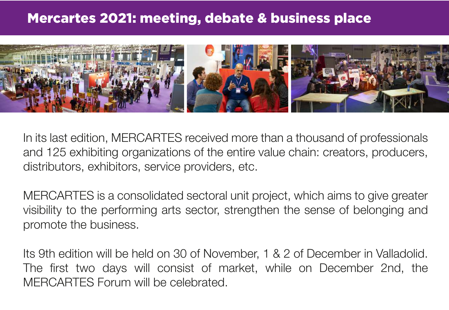## Mercartes 2021: meeting, debate & business place



In its last edition, MERCARTES received more than a thousand of professionals and 125 exhibiting organizations of the entire value chain: creators, producers, distributors, exhibitors, service providers, etc.

MERCARTES is a consolidated sectoral unit project, which aims to give greater visibility to the performing arts sector, strengthen the sense of belonging and promote the business.

Its 9th edition will be held on 30 of November, 1 & 2 of December in Valladolid. The first two days will consist of market, while on December 2nd, the MERCARTES Forum will be celebrated.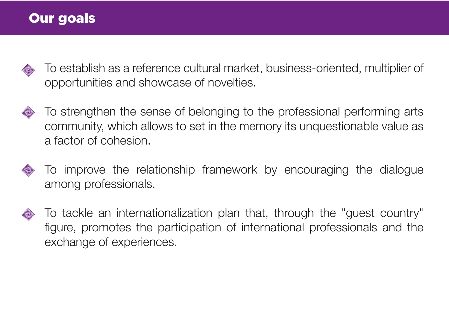## Our goals

- To establish as a reference cultural market, business-oriented, multiplier of opportunities and showcase of novelties.
- To strengthen the sense of belonging to the professional performing arts **Alta** community, which allows to set in the memory its unquestionable value as a factor of cohesion.
- To improve the relationship framework by encouraging the dialogue among professionals.
- To tackle an internationalization plan that, through the "guest country" figure, promotes the participation of international professionals and the exchange of experiences.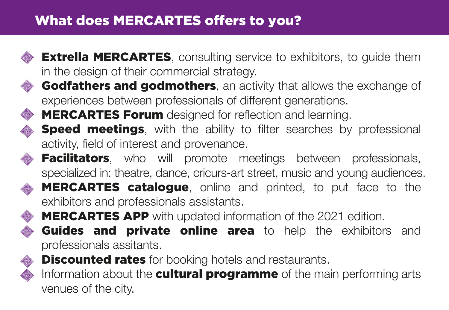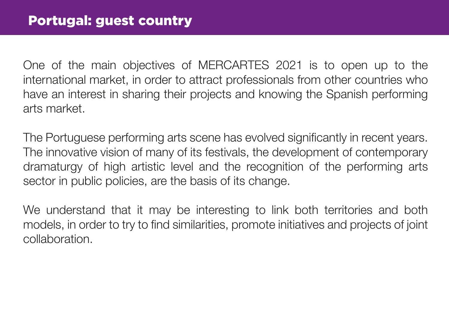One of the main objectives of MERCARTES 2021 is to open up to the international market, in order to attract professionals from other countries who have an interest in sharing their projects and knowing the Spanish performing arts market.

The Portuguese performing arts scene has evolved significantly in recent years. The innovative vision of many of its festivals, the development of contemporary dramaturgy of high artistic level and the recognition of the performing arts sector in public policies, are the basis of its change.

We understand that it may be interesting to link both territories and both models, in order to try to find similarities, promote initiatives and projects of joint collaboration.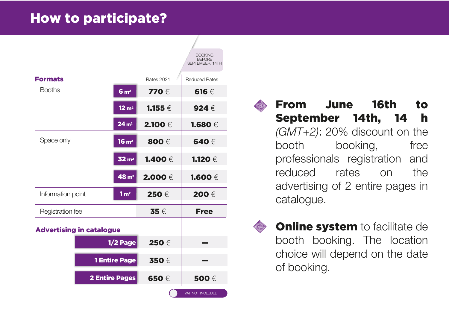## How to participate?

|                                 |                   |                   | <b>BOOKING</b><br><b>BFFORF</b><br>SEPTEMBER, 14TH |
|---------------------------------|-------------------|-------------------|----------------------------------------------------|
| <b>Formats</b>                  |                   | <b>Rates 2021</b> | <b>Reduced Rates</b>                               |
| <b>Booths</b>                   | 6 <sub>m²</sub>   | 770 €             | 616 $\in$                                          |
|                                 | 12 m <sup>2</sup> | <b>1.155 €</b>    | 924 $\in$                                          |
|                                 | 24 m <sup>2</sup> | 2.100 €           | 1.680 $\in$                                        |
| Space only                      | 16 <sub>m²</sub>  | 800€              | 640€                                               |
|                                 | 32 <sub>m²</sub>  | 1.400 €           | 1.120 €                                            |
|                                 | $48 \text{ m}^2$  | 2.000€            | 1.600 €                                            |
| Information point               | 1 m <sup>2</sup>  | 250€              | 200€                                               |
| Registration fee                |                   | $35 \in$          | <b>Free</b>                                        |
| <b>Advertising in catalogue</b> |                   |                   |                                                    |
| $1/2$ Page                      |                   | 250€              | --                                                 |
| <b>1 Entire Page</b>            |                   | 350€              |                                                    |
| 2 Entire Pages                  |                   | 650€              | 500€                                               |
|                                 |                   |                   | VAT NOT INCLUDED                                   |

From June 16th to September 14th, 14 h *(GMT+2)*: 20% discount on the booth booking, free professionals registration and reduced rates on the advertising of 2 entire pages in catalogue.



**Online system** to facilitate de booth booking. The location choice will depend on the date of booking.